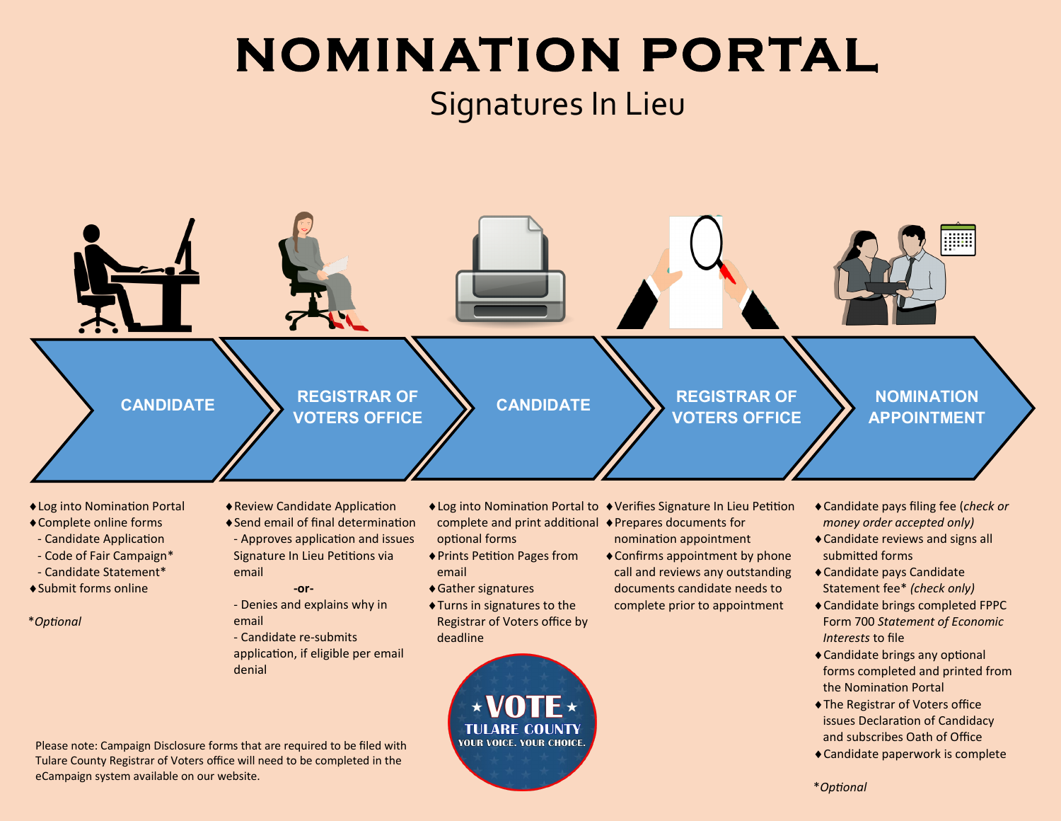## **NOMINATION PORTAL** Signatures In Lieu



- Log into Nomination Portal Complete online forms
- Candidate Application
- Code of Fair Campaign\*
- Candidate Statement\*
- Submit forms online
- \**Optional*
- Review Candidate Application Send email of final determination
	- Approves application and issues Signature In Lieu Petitions via
		- email **-or-**
		- Denies and explains why in email
		- Candidate re-submits application, if eligible per email denial
- Log into Nomination Portal to Verifies Signature In Lieu Petition complete and print additional Prepares documents for optional forms
- Prints Petition Pages from email
- Gather signatures
- Turns in signatures to the Registrar of Voters office by deadline



- nomination appointment
- Confirms appointment by phone call and reviews any outstanding documents candidate needs to complete prior to appointment
- Candidate pays filing fee (*check or money order accepted only)*
- Candidate reviews and signs all submitted forms
- Candidate pays Candidate Statement fee\* *(check only)*
- Candidate brings completed FPPC Form 700 *Statement of Economic Interests* to file
- Candidate brings any optional forms completed and printed from the Nomination Portal
- The Registrar of Voters office issues Declaration of Candidacy and subscribes Oath of Office
- Candidate paperwork is complete

Please note: Campaign Disclosure forms that are required to be filed with Tulare County Registrar of Voters office will need to be completed in the eCampaign system available on our website.

\**Optional*